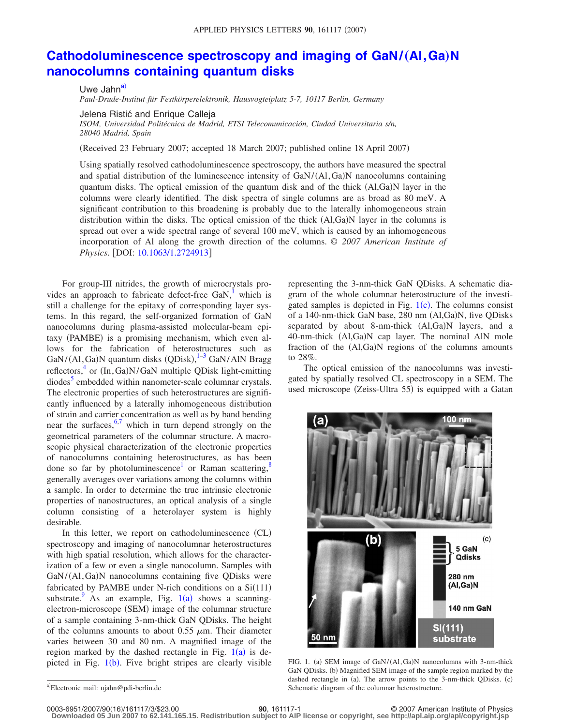## **[Cathodoluminescence spectroscopy and imaging of GaN/](http://dx.doi.org/10.1063/1.2724913)(Al, Ga)N [nanocolumns containing quantum disks](http://dx.doi.org/10.1063/1.2724913)**

Uwe Jahn<sup>a)</sup> *Paul-Drude-Institut für Festkörperelektronik, Hausvogteiplatz 5-7, 10117 Berlin, Germany*

Jelena Ristić and Enrique Calleja

*ISOM, Universidad Politécnica de Madrid, ETSI Telecomunicación, Ciudad Universitaria s/n, 28040 Madrid, Spain*

Received 23 February 2007; accepted 18 March 2007; published online 18 April 2007-

Using spatially resolved cathodoluminescence spectroscopy, the authors have measured the spectral and spatial distribution of the luminescence intensity of GaN/(A1, Ga)N nanocolumns containing quantum disks. The optical emission of the quantum disk and of the thick  $(A,I,Ga)N$  layer in the columns were clearly identified. The disk spectra of single columns are as broad as 80 meV. A significant contribution to this broadening is probably due to the laterally inhomogeneous strain distribution within the disks. The optical emission of the thick (Al,Ga)N layer in the columns is spread out over a wide spectral range of several 100 meV, which is caused by an inhomogeneous incorporation of Al along the growth direction of the columns. © *2007 American Institute of Physics*. [DOI: [10.1063/1.2724913](http://dx.doi.org/10.1063/1.2724913)]

For group-III nitrides, the growth of microcrystals provides an approach to fabricate defect-free  $GaN$ ,<sup>1</sup> which is still a challenge for the epitaxy of corresponding layer systems. In this regard, the self-organized formation of GaN nanocolumns during plasma-assisted molecular-beam epitaxy (PAMBE) is a promising mechanism, which even allows for the fabrication of heterostructures such as GaN/(Al, Ga)N quantum disks (QDisk), <sup>[1–](#page-2-0)[3](#page-2-1)</sup> GaN/AlN Bragg reflectors,<sup>4</sup> or (In, Ga)N/GaN multiple QDisk light-emitting diodes<sup>5</sup> embedded within nanometer-scale columnar crystals. The electronic properties of such heterostructures are significantly influenced by a laterally inhomogeneous distribution of strain and carrier concentration as well as by band bending near the surfaces,  $6,7$  $6,7$  which in turn depend strongly on the geometrical parameters of the columnar structure. A macroscopic physical characterization of the electronic properties of nanocolumns containing heterostructures, as has been done so far by photoluminescence<sup>1</sup> or Raman scattering,<sup>8</sup> generally averages over variations among the columns within a sample. In order to determine the true intrinsic electronic properties of nanostructures, an optical analysis of a single column consisting of a heterolayer system is highly desirable.

In this letter, we report on cathodoluminescence (CL) spectroscopy and imaging of nanocolumnar heterostructures with high spatial resolution, which allows for the characterization of a few or even a single nanocolumn. Samples with GaN/(Al, Ga)N nanocolumns containing five QDisks were fabricated by PAMBE under N-rich conditions on a  $Si(111)$ substrate. As an example, Fig.  $1(a)$  $1(a)$  shows a scanningelectron-microscope (SEM) image of the columnar structure of a sample containing 3-nm-thick GaN QDisks. The height of the columns amounts to about 0.55  $\mu$ m. Their diameter varies between 30 and 80 nm. A magnified image of the region marked by the dashed rectangle in Fig.  $1(a)$  $1(a)$  is depicted in Fig.  $1(b)$  $1(b)$ . Five bright stripes are clearly visible

representing the 3-nm-thick GaN QDisks. A schematic diagram of the whole columnar heterostructure of the investigated samples is depicted in Fig.  $1(c)$  $1(c)$ . The columns consist of a 140-nm-thick GaN base, 280 nm (Al,Ga)N, five QDisks separated by about 8-nm-thick (Al,Ga)N layers, and a 40-nm-thick (Al,Ga)N cap layer. The nominal AlN mole fraction of the (Al,Ga)N regions of the columns amounts to 28%.

The optical emission of the nanocolumns was investigated by spatially resolved CL spectroscopy in a SEM. The used microscope (Zeiss-Ultra 55) is equipped with a Gatan

<span id="page-0-1"></span>

FIG. 1. (a) SEM image of GaN/(Al, Ga)N nanocolumns with 3-nm-thick GaN QDisks. (b) Magnified SEM image of the sample region marked by the dashed rectangle in (a). The arrow points to the 3-nm-thick QDisks. (c) Schematic diagram of the columnar heterostructure.

<span id="page-0-0"></span>a)<br>Electronic mail: ujahn@pdi-berlin.de

**<sup>90</sup>**, 161117-1 © 2007 American Institute of Physics **Downloaded 05 Jun 2007 to 62.141.165.15. Redistribution subject to AIP license or copyright, see http://apl.aip.org/apl/copyright.jsp**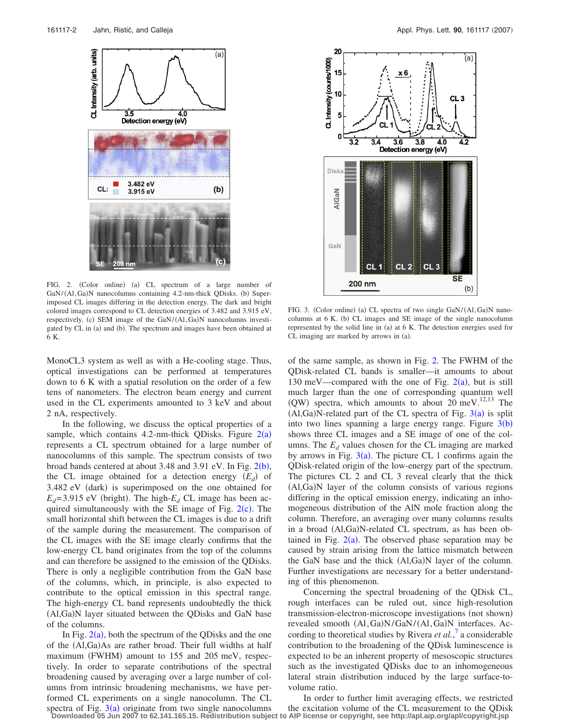<span id="page-1-0"></span>

FIG. 2. (Color online) (a) CL spectrum of a large number of GaN/(A1, Ga)N nanocolumns containing 4.2-nm-thick QDisks. (b) Superimposed CL images differing in the detection energy. The dark and bright colored images correspond to CL detection energies of 3.482 and 3.915 eV, respectively. (c) SEM image of the GaN/(Al, Ga)N nanocolumns investigated by CL in (a) and (b). The spectrum and images have been obtained at 6 K.

MonoCL3 system as well as with a He-cooling stage. Thus, optical investigations can be performed at temperatures down to 6 K with a spatial resolution on the order of a few tens of nanometers. The electron beam energy and current used in the CL experiments amounted to 3 keV and about 2 nA, respectively.

In the following, we discuss the optical properties of a sample, which contains  $4.2$  $4.2$ -nm-thick QDisks. Figure  $2(a)$ represents a CL spectrum obtained for a large number of nanocolumns of this sample. The spectrum consists of two broad bands centered at about  $3.48$  and  $3.91$  eV. In Fig.  $2(b)$  $2(b)$ , the CL image obtained for a detection energy  $(E_d)$  of 3.482 eV (dark) is superimposed on the one obtained for  $E_d$ =3.915 eV (bright). The high- $E_d$  CL image has been acquired simultaneously with the SE image of Fig.  $2(c)$  $2(c)$ . The small horizontal shift between the CL images is due to a drift of the sample during the measurement. The comparison of the CL images with the SE image clearly confirms that the low-energy CL band originates from the top of the columns and can therefore be assigned to the emission of the QDisks. There is only a negligible contribution from the GaN base of the columns, which, in principle, is also expected to contribute to the optical emission in this spectral range. The high-energy CL band represents undoubtedly the thick (Al,Ga)N layer situated between the QDisks and GaN base of the columns.

In Fig.  $2(a)$  $2(a)$ , both the spectrum of the QDisks and the one of the (Al,Ga)As are rather broad. Their full widths at half maximum (FWHM) amount to 155 and 205 meV, respectively. In order to separate contributions of the spectral broadening caused by averaging over a large number of columns from intrinsic broadening mechanisms, we have performed CL experiments on a single nanocolumn. The CL spectra of Fig.  $3(a)$  $3(a)$  originate from two single nanocolumns

<span id="page-1-1"></span>

FIG. 3. (Color online) (a) CL spectra of two single GaN/(Al, Ga)N nanocolumns at 6 K. (b) CL images and SE image of the single nanocolumn represented by the solid line in (a) at 6 K. The detection energies used for CL imaging are marked by arrows in (a).

of the same sample, as shown in Fig. [2.](#page-1-0) The FWHM of the QDisk-related CL bands is smaller—it amounts to about 130 meV—compared with the one of Fig.  $2(a)$  $2(a)$ , but is still much larger than the one of corresponding quantum well (QW) spectra, which amounts to about  $20 \text{ meV}$ .<sup>12,13</sup> The  $(AI, Ga)N$ -related part of the CL spectra of Fig.  $3(a)$  $3(a)$  is split into two lines spanning a large energy range. Figure  $3(b)$  $3(b)$ shows three CL images and a SE image of one of the columns. The  $E_d$  values chosen for the CL imaging are marked by arrows in Fig.  $3(a)$  $3(a)$ . The picture CL 1 confirms again the QDisk-related origin of the low-energy part of the spectrum. The pictures CL 2 and CL 3 reveal clearly that the thick (Al,Ga)N layer of the column consists of various regions differing in the optical emission energy, indicating an inhomogeneous distribution of the AlN mole fraction along the column. Therefore, an averaging over many columns results in a broad (Al,Ga)N-related CL spectrum, as has been obtained in Fig.  $2(a)$  $2(a)$ . The observed phase separation may be caused by strain arising from the lattice mismatch between the GaN base and the thick (Al,Ga)N layer of the column. Further investigations are necessary for a better understanding of this phenomenon.

Concerning the spectral broadening of the QDisk CL, rough interfaces can be ruled out, since high-resolution transmission-electron-microscope investigations (not shown) revealed smooth (Al, Ga)N/GaN/(Al, Ga)N interfaces. According to theoretical studies by Rivera *et al.*, [7](#page-2-5) a considerable contribution to the broadening of the QDisk luminescence is expected to be an inherent property of mesoscopic structures such as the investigated QDisks due to an inhomogeneous lateral strain distribution induced by the large surface-tovolume ratio.

In order to further limit averaging effects, we restricted the excitation volume of the CL measurement to the QDisk **Downloaded 05 Jun 2007 to 62.141.165.15. Redistribution subject to AIP license or copyright, see http://apl.aip.org/apl/copyright.jsp**